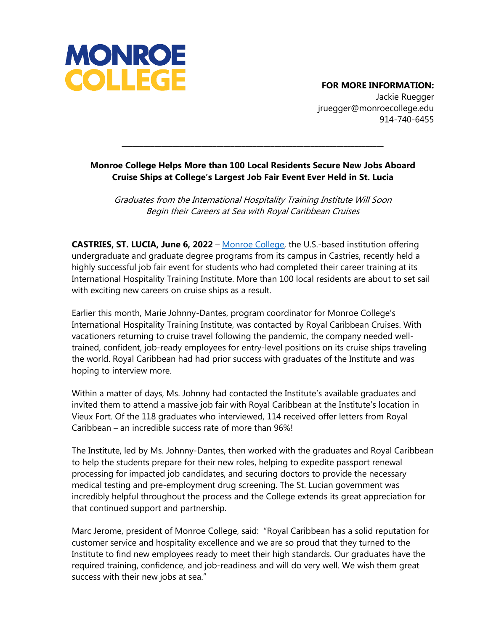

## **FOR MORE INFORMATION:**

Jackie Ruegger jruegger@monroecollege.edu 914-740-6455

## **Monroe College Helps More than 100 Local Residents Secure New Jobs Aboard Cruise Ships at College's Largest Job Fair Event Ever Held in St. Lucia**

**\_\_\_\_\_\_\_\_\_\_\_\_\_\_\_\_\_\_\_\_\_\_\_\_\_\_\_\_\_\_\_\_\_\_\_\_\_\_\_\_\_\_\_\_\_\_\_\_\_\_\_\_\_\_\_\_\_\_\_\_\_\_\_\_\_\_\_\_\_\_\_\_**

Graduates from the International Hospitality Training Institute Will Soon Begin their Careers at Sea with Royal Caribbean Cruises

**CASTRIES, ST. LUCIA, June 6, 2022** – [Monroe College,](http://www.monroecollege.edu/) the U.S.-based institution offering undergraduate and graduate degree programs from its campus in Castries, recently held a highly successful job fair event for students who had completed their career training at its International Hospitality Training Institute. More than 100 local residents are about to set sail with exciting new careers on cruise ships as a result.

Earlier this month, Marie Johnny-Dantes, program coordinator for Monroe College's International Hospitality Training Institute, was contacted by Royal Caribbean Cruises. With vacationers returning to cruise travel following the pandemic, the company needed welltrained, confident, job-ready employees for entry-level positions on its cruise ships traveling the world. Royal Caribbean had had prior success with graduates of the Institute and was hoping to interview more.

Within a matter of days, Ms. Johnny had contacted the Institute's available graduates and invited them to attend a massive job fair with Royal Caribbean at the Institute's location in Vieux Fort. Of the 118 graduates who interviewed, 114 received offer letters from Royal Caribbean – an incredible success rate of more than 96%!

The Institute, led by Ms. Johnny-Dantes, then worked with the graduates and Royal Caribbean to help the students prepare for their new roles, helping to expedite passport renewal processing for impacted job candidates, and securing doctors to provide the necessary medical testing and pre-employment drug screening. The St. Lucian government was incredibly helpful throughout the process and the College extends its great appreciation for that continued support and partnership.

Marc Jerome, president of Monroe College, said: "Royal Caribbean has a solid reputation for customer service and hospitality excellence and we are so proud that they turned to the Institute to find new employees ready to meet their high standards. Our graduates have the required training, confidence, and job-readiness and will do very well. We wish them great success with their new jobs at sea."